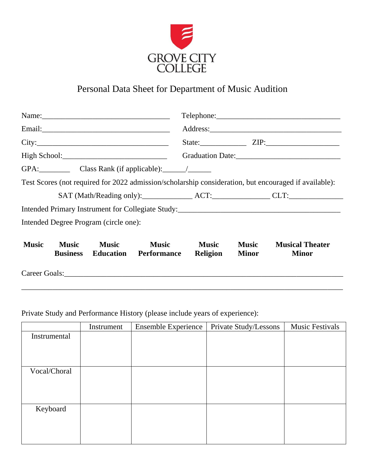

## Personal Data Sheet for Department of Music Audition

|                                       |                                 |              |                                              |                                 |                       | State: $ZIP$ : $ZIP$ :                                                                                |  |
|---------------------------------------|---------------------------------|--------------|----------------------------------------------|---------------------------------|-----------------------|-------------------------------------------------------------------------------------------------------|--|
|                                       |                                 |              |                                              |                                 |                       |                                                                                                       |  |
|                                       |                                 |              |                                              |                                 |                       |                                                                                                       |  |
|                                       |                                 |              |                                              |                                 |                       | Test Scores (not required for 2022 admission/scholarship consideration, but encouraged if available): |  |
|                                       |                                 |              |                                              |                                 |                       |                                                                                                       |  |
|                                       |                                 |              |                                              |                                 |                       |                                                                                                       |  |
| Intended Degree Program (circle one): |                                 |              |                                              |                                 |                       |                                                                                                       |  |
| <b>Music</b>                          | <b>Music</b><br><b>Business</b> | <b>Music</b> | <b>Music</b><br><b>Education</b> Performance | <b>Music</b><br><b>Religion</b> | <b>Music</b><br>Minor | <b>Musical Theater</b><br><b>Minor</b>                                                                |  |
|                                       |                                 |              |                                              |                                 |                       |                                                                                                       |  |

\_\_\_\_\_\_\_\_\_\_\_\_\_\_\_\_\_\_\_\_\_\_\_\_\_\_\_\_\_\_\_\_\_\_\_\_\_\_\_\_\_\_\_\_\_\_\_\_\_\_\_\_\_\_\_\_\_\_\_\_\_\_\_\_\_\_\_\_\_\_\_\_\_\_\_\_\_\_\_\_\_\_\_

Private Study and Performance History (please include years of experience):

|              | Instrument | <b>Ensemble Experience</b> | Private Study/Lessons | <b>Music Festivals</b> |
|--------------|------------|----------------------------|-----------------------|------------------------|
| Instrumental |            |                            |                       |                        |
|              |            |                            |                       |                        |
|              |            |                            |                       |                        |
|              |            |                            |                       |                        |
| Vocal/Choral |            |                            |                       |                        |
|              |            |                            |                       |                        |
|              |            |                            |                       |                        |
|              |            |                            |                       |                        |
| Keyboard     |            |                            |                       |                        |
|              |            |                            |                       |                        |
|              |            |                            |                       |                        |
|              |            |                            |                       |                        |